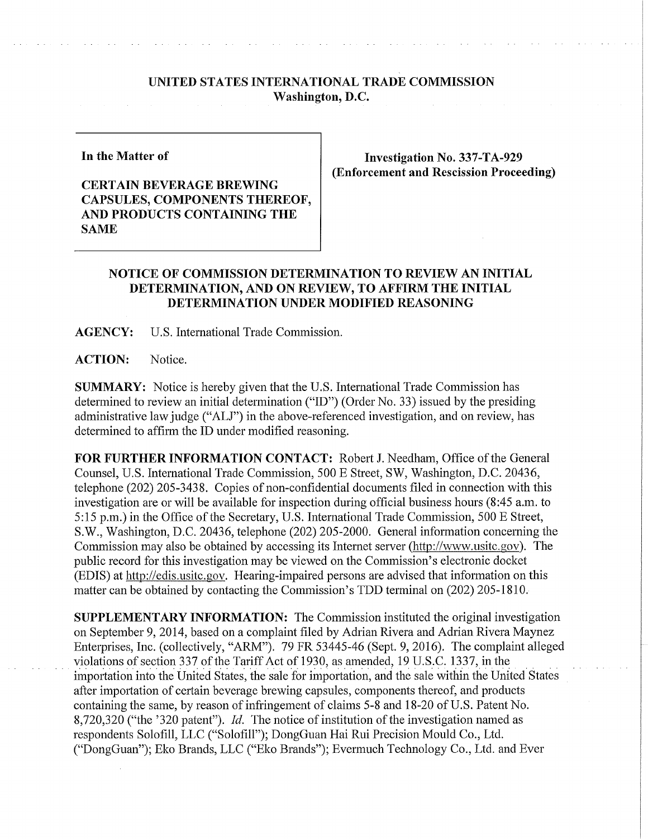## **UNITED STATES INTERNATIONAL TRADE COMMISSION Washington, D.C.**

**In the Matter of** 

## **CERTAIN BEVERAGE BREWING CAPSULES, COMPONENTS THEREOF, AND PRODUCTS CONTAINING THE SAME**

**Investigation No. 337-TA-929 (Enforcement and Rescission Proceeding)** 

## **NOTICE OF COMMISSION DETERMINATION TO REVIEW AN INITIAL DETERMINATION, AND ON REVIEW, TO AFFIRM THE INITIAL DETERMINATION UNDER MODIFIED REASONING**

**AGENCY:** U.S. International Trade Commission.

**ACTION:** Notice.

**SUMMARY:** Notice is hereby given that the U.S. International Trade Commission has determined to review an initial determination ("ID") (Order No. 33) issued by the presiding administrative law judge ("ALJ") in the above-referenced investigation, and on review, has determined to affirm the ID under modified reasoning.

**FOR FURTHER INFORMATION CONTACT:** Robert J. Needham, Office of the General Counsel, U.S. International Trade Commission, 500 E Street, SW, Washington, D.C. 20436, telephone (202) 205-3438. Copies of non-confidential documents filed in connection with this investigation are or will be available for inspection during official business hours (8:45 a.m. to 5:15 p.m.) in the Office of the Secretary, U.S. International Trade Commission, 500 E Street, S.W., Washington, D.C. 20436, telephone (202) 205-2000. General information concerning the Commission may also be obtained by accessing its Internet server (http://www.usitc.gov). The public record for this investigation may be viewed on the Commission's electronic docket (EDIS) at http://edis.usitc.gov. Hearing-impaired persons are advised that information on this matter can be obtained by contacting the Commission's TDD terminal on (202) 205-1810.

**SUPPLEMENTARY INFORMATION:** The Commission instituted the original investigation on September 9, 2014, based on a complaint filed by Adrian Rivera and Adrian Rivera Maynez Enterprises, Inc. (collectively, "ARM"). 79 FR 53445-46 (Sept. 9, 2016). The complaint alleged violations of section 337 of the Tariff Act of 1930, as amended, 19 U.S.C. 1337, in the importation into the United States, the sale for importation, and the sale within the United States after importation of certain beverage brewing capsules, components thereof, and products containing the same, by reason of infringement of claims 5-8 and 18-20 of U.S. Patent No. 8,720,320 ("the '320 patent"). *Id.* The notice of institution of the investigation named as respondents Solofill, LLC ("SolofiU"); DongGuan Hai Rui Precision Mould Co., Ltd. ("DongGuan"); Eko Brands, LLC ("Eko Brands"); Evermuch Technology Co., Ltd. and Ever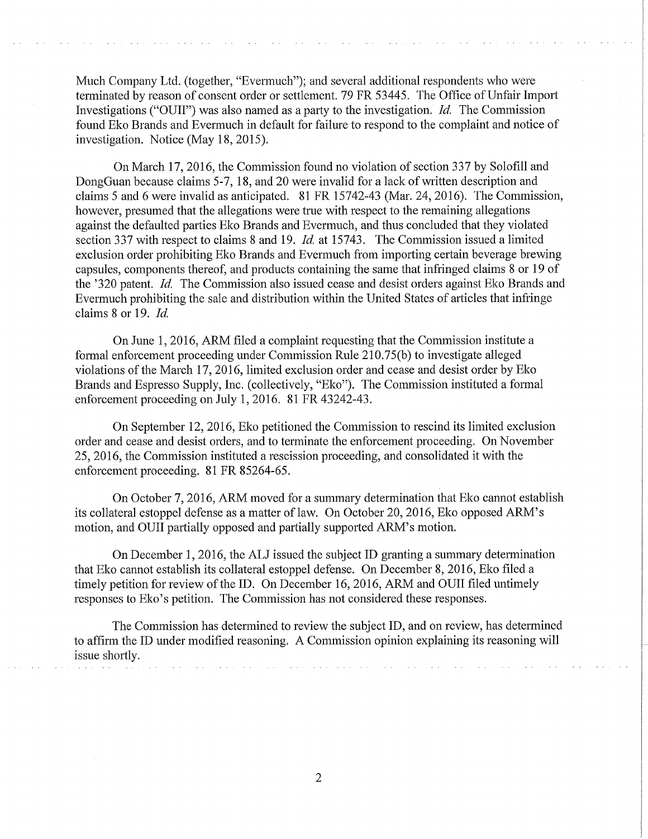Much Company Ltd. (together, "Evermuch"); and several additional respondents who were terminated by reason of consent order or settlement. 79 FR 53445. The Office of Unfair Import Investigations ("OUII") was also named as a party to the investigation. *Id.* The Commission found Eko Brands and Evermuch in default for failure to respond to the complaint and notice of investigation. Notice (May 18, 2015).

On March 17, 2016, the Commission found no violation of section 337 by Solofill and DongGuan because claims 5-7, 18, and 20 were invalid for a lack of written description and claims 5 and 6 were invalid as anticipated. 81 FR 15742-43 (Mar. 24, 2016). The Commission, however, presumed that the allegations were true with respect to the remaining allegations against the defaulted parties Eko Brands and Evermuch, and thus concluded that they violated section 337 with respect to claims 8 and 19. *Id,* at 15743. The Commission issued a limited exclusion order prohibiting Eko Brands and Evermuch from importing certain beverage brewing capsules, components thereof, and products containing the same that infringed claims 8 or 19 of the '320 patent. *Id,* The Commission also issued cease and desist orders against Eko Brands and Evermuch prohibiting the sale and distribution within the United States of articles that infringe claims 8 or 19. *Id,* 

On June 1, 2016, ARM filed a complaint requesting that the Commission institute a formal enforcement proceeding under Commission Rule 210.75(b) to investigate alleged violations of the March 17, 2016, limited exclusion order and cease and desist order by Eko Brands and Espresso Supply, Inc. (collectively, "Eko"). The Commission instituted a formal enforcement proceeding on July 1,2016. 81 FR 43242-43.

On September 12, 2016, Eko petitioned the Commission to rescind its limited exclusion order and cease and desist orders, and to terminate the enforcement proceeding. On November 25, 2016, the Commission instituted a rescission proceeding, and consolidated it with the enforcement proceeding. 81 FR 85264-65.

On October 7, 2016, ARM moved for a summary determination that Eko cannot establish its collateral estoppel defense as a matter of law. On October 20, 2016, Eko opposed ARM's motion, and OUII partially opposed and partially supported ARM's motion.

On December 1, 2016, the ALJ issued the subject ID granting a summary determination that Eko cannot establish its collateral estoppel defense. On December 8, 2016, Eko filed a timely petition for review of the ID. On December 16, 2016, ARM and OUII filed untimely responses to Eko's petition. The Commission has not considered these responses.

The Commission has determined to review the subject ID, and on review, has determined to affirm the ID under modified reasoning. A Commission opinion explaining its reasoning will issue shortly.